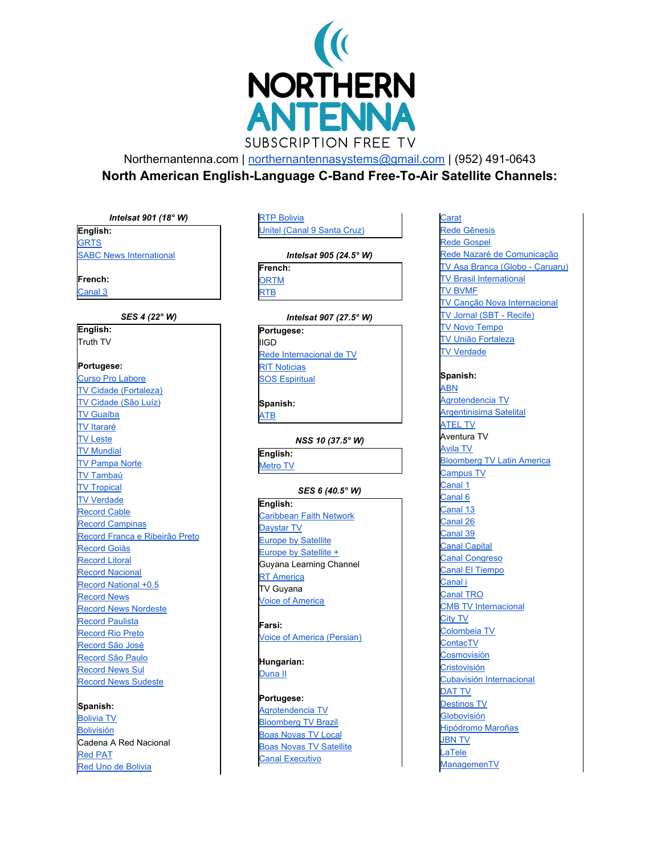

Northernantenna.com | [northernantennasystems@gmail.com](mailto:northernantennasystems@gmail.com) | (952) 491-0643

**North American English-Language C-Band Free-To-Air Satellite Channels:**

# *Intelsat 901 (18° W)*

**English:**

**[GRTS](http://www.grts.gm/)** 

SABC News [International](http://www.sabcnews.com/)

**French:**

[Canal](http://www.canal3tv.net/) 3

### *SES 4 (22° W)*

**English:** Truth TV **Portugese:** Curso Pro [Labore](http://www.prolabore.com.br/) TV Cidade [\(Fortaleza\)](http://www.tvcidadefortaleza.com.br/) TV [Cidade](http://www.cidadesat.com.br/) (São Luíz) TV [Guaíba](http://www.tvguaiba.com.br/) TV [Itararé](http://www.tvitarare.com.br/) TV [Leste](http://www.tvleste.com.br/) TV [Mundial](http://www.impd.tv/) TV [Pampa](http://www.redepampa.com.br/) Norte TV [Tambaú](http://www.tvtambau.com.br/) TV [Tropical](http://www.redetropical.com.br/tv/) TV [Verdade](http://www.alterosa.com.br/html/caderno_tvverdade/caderno_tvverdade.shtml) [Record](http://www.rederecord.com.br/) Cable Record [Campinas](http://www.rederecord.com.br/) Record Franca e [Ribeirão](http://www.recordribeiraopreto.com.br/) Preto [Record](http://www.rederecord.com.br/) Goiás [Record](http://www.rederecord.com.br/) Litoral Record [Nacional](http://www.rederecord.com.br/) Record [National](http://www.rederecord.com.br/) +0.5 [Record](http://www.recnews.com.br/) News Record News [Nordeste](http://www.recnews.com.br/) Record [Paulista](http://www.recordpaulista.com.br/) [Record](http://www.recordriopreto.com.br/) Rio Preto [Record](http://www.rederecord.com.br/) São José [Record](http://www.rederecord.com.br/) São Paulo [Record](http://www.recnews.com.br/) News Sul Record News [Sudeste](http://www.recnews.com.br/)

# **Spanish:**

[Bolivia](http://www.televisionboliviana.tv.bo/) TV [Bolivisión](http://www.redbolivision.tv/) Cadena A Red Nacional Red [PAT](http://www.red-pat.com/) Red Uno de [Bolivia](http://www.reduno.com.bo/)

### RTP [Bolivia](http://www.rtpbolivia.com/) Unitel [\(Canal](http://www.unitel.tv/) 9 Santa Cruz)

### *Intelsat 905 (24.5° W)*

**French: [ORTM](http://www.ortm.ml/)** [RTB](http://www.tnb.bf/)

# *Intelsat 907 (27.5° W)*

**Portugese:** IIGD Rede [Internacional](http://www.rittv.com.br/) de TV RIT [Noticias](http://www.rittv.com.br/) SOS [Espiritual](http://www.sosespiritual.hpg.ig.com.br/)

**Spanish:** [ATB](http://www.atb.com.bo/)

### *NSS 10 (37.5° W)*

**English:** [Metro](http://www.metroworld.tv/) TV

# *SES 6 (40.5° W)*

**English:** [Caribbean](http://caribbeanfaithnetwork.com/) Faith Network [Daystar](http://www.daystar.com/) TV Europe by [Satellite](http://ec.europa.eu/avservices/ebs/welcome_en.cfm) Europe by [Satellite](http://ec.europa.eu/avservices/ebs/ebsplus.cfm?sitelang=en) + Guyana Learning Channel RT [America](http://rt.com/) TV Guyana Voice of [America](http://www.voanews.com/english/About/television.cfm)

**Farsi:**

Voice of America [\(Persian\)](http://www.voanews.com/english/About/television.cfm)

**Hungarian:** [Duna](http://www.dunatv.hu/) II

# **Portugese:**

[Agrotendencia](http://www.agrotendencia.com/) TV [Bloomberg](http://www.bloomberg.com/tvradio/tv/brazil/tv_index_brazil.html) TV Brazil Boas [Novas](http://www.boasnovas.tv/) TV Local Boas Novas TV [Satellite](http://www.boasnovas.tv/) Canal [Executivo](http://www.novotempo.org.br/)

**[Carat](http://www.carat.com.br/)** Rede [Gênesis](http://www.redegenesis.com.br/) Rede [Gospel](http://www.igospel.com.br/redegospel) Rede Nazaré de [Comunicação](http://www.fundacaonazare.com.br/) TV Asa Branca (Globo - [Caruaru\)](http://maisab.com.br/tvasabranca) TV Brasil [International](http://tvbrasil.ebc.com.br/internacional/) TV [BVMF](http://www.tvbvmf.com.br/) TV Canção Nova [Internacional](http://tv.cancaonova.com/) TV Jornal (SBT - [Recife\)](http://www.tvjornal.com.br/) TV Novo [Tempo](http://www.novotempo.org.br/tv) TV União [Fortaleza](http://www.redeuniao.com.br/) TV [Verdade](http://www.alterosa.com.br/html/caderno_tvverdade/caderno_tvverdade.shtml)

**Spanish:**

[ABN](http://www.avivamiento.com/abn_2007/Html/Home.html) [Agrotendencia](http://www.agrotendencia.com/) TV [Argentinisima](http://www.argentinisimatv.com.ar/) Satelital [ATEL](http://www.atel.tv/) TV Aventura TV [Avila](http://www.avila.tv/) TV [Bloomberg](http://www.bloomberg.com/media/tv) TV Latin America [Campus](http://www.campushd.tv/) TV [Canal](http://coltvserver.coltevision.com/canal-uno) 1 [Canal](http://www.noti6.com/) 6 [Canal](http://www.canal13.com.co/) 13 [Canal](http://www.canal26.com.ar/) 26 [Canal](http://www.canal39tv.com/) 39 Canal [Capital](http://www.canalcapital.gov.co/) Canal [Congreso](http://www.canalcongreso.tv/index.php?id=37) Canal El [Tiempo](http://www.canaleltiempo.tv/) [Canal](http://www.canal-i.com/) i [Canal](http://www.canaltro.com/) TRO CMB TV [Internacional](http://www.cmb.org.co/tv) [City](http://www.citytv.com.co/) TV [Colombeia](http://www.inces.gob.ve/) TV **[ContacTV](http://www.contactv.org/)** [Cosmovisión](http://www.cosmovision.tv/) **[Cristovisión](http://www.cristovision.org/)** Cubavisión [Internacional](http://www.cubavision.cubaweb.cu/satelite.asp) [DAT](http://www.dattv.tv/) TV [Destinos](http://www.destinostv.com/) TV [Globovisión](http://www.globovision.com/) [Hipódromo](http://www.maronas.com.uy/) Maroñas [JBN](http://www.jbntv.org/) TV [LaTele](http://www.la-tele.tv/) **[ManagemenTV](http://www.managementv.com/)**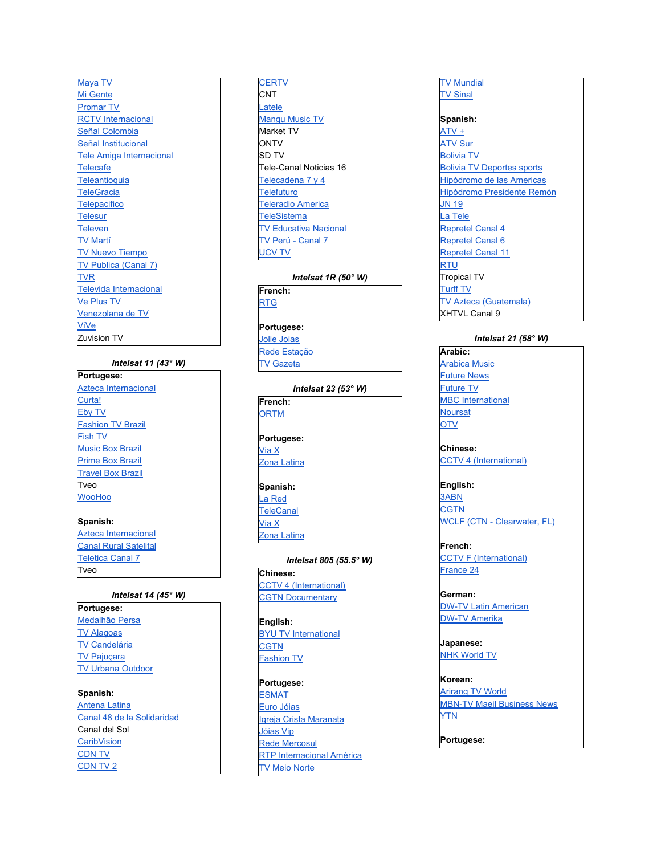[Maya](http://www.maya-tv.com/) TV Mi [Gente](http://www.migente-tv.com/) [Promar](http://www.promar.tv/) TV RCTV [Internacional](http://www.rctv.net/) Señal [Colombia](http://www.senalcolombia.tv/) Señal [Institucional](http://www.canalinstitucional.com/) Tele Amiga [Internacional](http://www.teleamiga.com/) **[Telecafe](http://www.telecafetv.com.co/) [Teleantioquia](http://www.teleantioquia.com.co/) [TeleGracia](http://www.telegracia.com/) [Telepacifico](http://www.telepacifico.com/) [Telesur](http://www.telesurtv.net/) [Televen](http://www.televen.com/)** TV [Martí](http://www.martinoticias.com/) TV Nuevo [Tiempo](http://www.nuevotiempo.org/) TV [Publica](http://www.canal7.com.ar/) (Canal 7) [TVR](http://www.tvr.com.ve/) Televida [Internacional](http://www.televida.org.co/) Ve [Plus](http://www.novelisima.com/) TV [Venezolana](http://www.vtv.gob.ve/) de TV [ViVe](http://www.vive.gov.ve/) Zuvision TV

### *Intelsat 11 (43° W)*

**Portugese:** Azteca [Internacional](http://www.tvazteca.com.mx/) [Curta!](http://www.canalcurta.com.br/) [Eby](http://www.ebytv.com/) TV [Fashion](http://www.ftv.com/) TV Brazil [Fish](http://www.fishtv.com/) TV [Music](http://www.musicboxbrazil.tv.br/) Box Brazil [Prime](http://primeboxbrazil.tv.br/) Box Brazil [Travel](http://primeboxbrazil.tv.br/) Box Brazil Tveo [WooHoo](http://www.woohoo.com.br/) **Spanish:**

Azteca [Internacional](http://www.tvazteca.com.mx/) Canal Rural [Satelital](http://www.elrural.com/) [Teletica](http://www.teletica.com/canal7/teletica-satelital.htm) Canal 7 Tveo

### *Intelsat 14 (45° W)*

**Portugese:** [Medalhão](http://www.medalhaopersa.com.br/) Persa TV [Alagoas](http://www.tvalagoas.com.br/) TV [Candelária](http://www.tvcandelaria.com.br/) TV [Pajuçara](http://pajucara.tudonahora.com.br/tv) TV Urbana [Outdoor](http://www.urbanaoutdoor.com.br/)

**Spanish:** [Antena](http://www.antenalatina7.com/) Latina Canal 48 de la [Solidaridad](http://www.fundacioncatolica.org/canal48hn/canal48.html) Canal del Sol **[CaribVision](http://www.caribvisiontv.tv/)** [CDN](http://www.elcaribecdn.com.do/cdntv.aspx) TV [CDN](http://www.elcaribecdn.com.do/cdntv.aspx) TV 2

### **[CERTV](http://www.certvdominicana.com/) CNT** [Latele](http://www.hispanoamericatv.com.py/) [Mangu](http://www.mangumtv.com/) Music TV Market TV **ONTV** SD TV Tele-Canal Noticias 16 [Telecadena](http://www.televicentro.hn/canal7.htm) 7 y 4 **[Telefuturo](http://www.telefuturo.com.py/)** [Teleradio](http://www.teleradioamerica.com/) America **[TeleSistema](http://www.televicentrotv.net/home/televicentro.php)** TV [Educativa](http://www.tencanal10.tv/) Nacional TV Perú - [Canal](http://www.tnp.com.pe/) 7 [UCV](http://www.ucvtv.cl/) TV

#### *Intelsat 1R (50° W)*

**French:** [RTG](http://www.rtg-conakry.com/)

**Portugese:** Jolie [Joias](http://www.joliejoias.com/) Rede [Estação](http://www.redeestacao.com.br/) TV [Gazeta](http://videos.agazeta.net/)

*Intelsat 23 (53° W)* **French: [ORTM](http://www.ortm.ml/) Portugese:**

[Via](http://www.viax.cl/) X Zona [Latina](http://www.zonalatina.cl/)

**Spanish:**

La [Red](http://www.lared.cl/) **[TeleCanal](http://www.telecanal.cl/)** 

[Via](http://www.viax.cl/) X Zona [Latina](http://www.zonalatina.cl/)

*Intelsat 805 (55.5° W)* **Chinese:** CCTV 4 [\(International\)](http://tv.cctv.com/cctv4) CGTN [Documentary](http://bugu.cntv.cn/cctv9documentary/)

**English:** BYU TV [International](http://www.byutvint.org/) **[CGTN](http://english.cctv.com/)** [Fashion](http://www.ftv.com/) TV

**Portugese:** [ESMAT](http://wwa.tjto.jus.br/esmat) Euro [Jóias](http://www.eurojoias.com.br/) Igreja Crista [Maranata](http://www.igrejacristamaranata.org.br/) [Jóias](http://www.joiasvip.com.br/) Vip Rede [Mercosul](http://www.canal21tv.com.br/) RTP [Internacional](http://www.rtp.pt/rtpi) América TV Meio [Norte](http://meionorte.com/programacaotv.html)

TV [Mundial](http://www.impd.tv/) TV [Sinal](http://www.sinal.org.br/destaques/pcs-tv.asp)

**Spanish:**

[ATV](http://www.atvplus.com.pe/) + [ATV](http://www.atvsur.com.pe/) Sur [Bolivia](http://www.televisionboliviana.tv.bo/) TV Bolivia TV [Deportes](http://www.televisionboliviana.tv.bo/) sports [Hipódromo](http://www.hipodromo.com/) de las Americas [Hipódromo](http://www.hipodromo.com/) Presidente Remón [JN](http://www.jn19tv.com/) 19 La [Tele](http://www.lared.cl/) [Repretel](http://www.repretel.com/canal_4) Canal 4 [Repretel](http://www.repretel.com/canal_6) Canal 6 [Repretel](http://www.repretel.com/canal_11) Canal 11 [RTU](http://www.rtu.com.ec/) Tropical TV [Turff](http://www.hipodromo.com/) TV TV Azteca [\(Guatemala\)](http://www.tvazteca.com.mx/) XHTVL Canal 9

# *Intelsat 21 (58° W)*

**Arabic:** [Arabica](http://www.arabicamusic.tv/) Music [Future](http://www.future-news.tv/) News [Future](http://www.futuretvnetwork.com/) TV MBC [International](http://www.mbc.net/ch1.html) **[Noursat](http://www.noursat.tv/) [OTV](http://www.otv.com.lb/)** 

**Chinese:** CCTV 4 [\(International\)](http://tv.cctv.com/cctv4)

**English:** [3ABN](http://www.3abntv.org/) **[CGTN](http://english.cctv.com/)** WCLF (CTN - [Clearwater,](http://www.ctnonline.com/) FL)

**French:** CCTV F [\(International\)](http://fr.cctv.com/) [France](http://www.france24.com/) 24

**German:** DW-TV Latin [American](http://www.dw-world.de/) DW-TV [Amerika](http://www.dw-world.de/)

**Japanese:** NHK [World](http://www.nhk.or.jp/nhkworld/english/tv) TV

**Korean:** [Arirang](http://www.arirangtv.com/) TV World MBN-TV Maeil [Business](http://www.mbn.co.kr/) News **[YTN](http://www.ytn.co.kr/)** 

**Portugese:**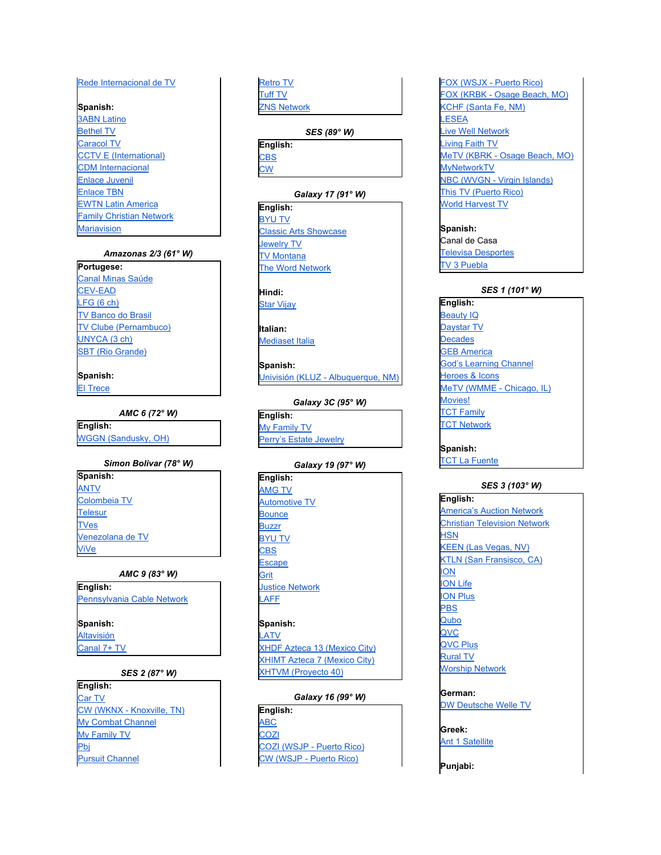### Rede Interna[cio](http://www.rittv.com.br/)nal de TV

### **S p a n i s h :**

**3ABN La[tin](http://www.3abntv.org/)o Beth[el](http://www.betheltv.tv/) TV** Carac[ol](http://www.canalcaracol.com/) TV **CCTV E [\(In](http://espanol.cctv.com/)ternational)** CDM Interna[cio](http://www.cdminternacional.com/)nal Enlace [Juvenil](http://www.enlacejuvenil.tv/) [Enlace](http://www.enlace.org/) TBN **EWTN Latin [Americ](http://www.ewtn.com/tv)a Fa[mily](http://www.fcntelevision.tv/) Christian Network Maria[visio](http://www.mariavision.com.mx/)n** [R](http://www.myretrotv.com/)ede Internacional de TV<br>
Spanish:<br>
Spanish:<br>
<u>Gene II TV</u><br>
Caracol TV<br>
Caracol TV<br>
Caracol TV<br>
Endez Juvenil<br>
Endez Juvenil<br>
Endez Juvenil<br>
Endez Juvenil<br>
Marazonas 23 (61° W)<br>
Portugese:<br>
Marazonas 23 (61° W)<br>
Portugese:

### *A m a z o n a s 2/3 (6 1 ° W)*

**Portugese:** Canal [Min](http://www.portalminassaude.com.br/)as Saúde [C](http://www.grupocev.com/)EV-EAD LF[G](http://www.lfg.com.br/) (6 ch) **TV Banco do Bra[sil](http://www.bb.com.br/)** TV Clube [\(Pernamb](http://www.tvclubepe.com.br/)uco) [U](http://www.unyca.com.br/)NYCA (3 ch) SBT ([Rio](http://www.sbt-rs.com.br/) Grande)

# **S p a n i s h :**

[El](http://www.rpc.com.py/) Trece

#### *A M C 6 ( 7 2 ° W)*

**E n g l i s h :** [W](http://www.wggn.tv/)GGN (Sandusky, OH)

#### *Simon Bolivar (78° W)*

**S p a n i s h : A[N](http://www.antv.gob.ve/)TV** C[olo](http://www.inces.gob.ve/)mbeia TV **T[ele](http://www.telesurtv.net/)sur T[V](http://www.tves.gob.ve/)es** Venez[ola](http://www.vtv.gob.ve/)na de TV [ViV](http://www.vive.gov.ve/) e

#### *A M C 9 (8 3 ° W)*

**E n g l i s h :** Pennsylva[nia](http://www.pcntv.com/) Cable Network **S p a n i s h :** Alta[visió](http://www.multimedios.tv/altavision)n

## Can[al](http://www.sqcs.com.mx/) 7+ TV

### *S E S 2 (8 7 ° W)*

**E n g l i s h :** [C](http://www.lukencommunications.com/)ar TV CW (WKNX - Knox[ville,](http://www.lbgtv.com/category/233174/cw20-homepage) TN) [M](http://www.mycombatchannel.com/)y Combat Channel My [Family](http://www.myfamilytv.tv/) TV [Pbj](http://en.wikipedia.org/wiki/PBJ_%28TV_network%29)

etro TV Tuff T[V](http://tufftv.com/) Z[N](http://www.znsbahamas.com/)S Network

#### *S E S (8 9 ° W)*

**E n g l i s h : [C](http://www.cbs.com/)BS** C [W](http://www.cwtv.com/)

#### *Galaxy* 17 (91° W)

**E n g l i s h : BY[U](http://www.byutv.org/) TV** [Cla](http://www.classicartsshowcase.org/)ssic Arts Showcase Jew[elr](http://www.jewelrytelevision.com/)y TV **TV [M](http://leg.mt.gov/css/Services%20Division/tvmt.asp)ontana** The [W](http://www.thewordnetwork.org/)ord Network

**H i n d i :**

Star [Vij](http://us.startv.com/node/741/home/starvijay)ay

**I t a l i a n :** Mediaset It[alia](http://www.mediaset.it/)

**S p a n i s h :** U[nivisió](http://www.kluz.tv/)n (KLUZ - Albuquerque, NM)

#### *G a la xy 3 C (9 5 ° W)*

**E n g l i s h :** My Fa[mily](http://www.myfamilytv.tv/) TV Perr[y's](http://www.perrysestatejewelry.tv/) Estate Jewelry

### *G a la xy 1 9 (9 7 ° W)*

**E n g l i s h : A[M](http://www.amgtv.tv/)G TV** Automo[tiv](http://automotive.tv/)e TV **[B](http://www.bouncetv.com/)ounce [B](http://buzzrplay.com/)uzzr BY[U](http://www.byutv.org/) TV [C](http://www.cbs.com/)BS [E](http://www.escapetv.com/)scape G[rit](http://www.grittv.com/)** Jus[tic](http://www.justicenetworktv.com/)e Network **L[A](http://www.laff.com/)FF** 

**S p a n i s h :** L[A](http://www.latv.com/)TV XHDF Azteca 13 (Me[xic](http://www.tvazteca.com.mx/)o City) X[HIM](http://www.tvazteca.com.mx/)T Azteca 7 (Mexico City) XHTV[M](http://www.proyecto40.com.mx/) (Proyecto 40)

### *Galaxy* 16 (99° W)

**E n g l i s h :** AB[C](http://www.abc.com/) <u>CO[ZI](http://www.cozitv.com/)</u> [COZI](http://www.cwtvpuertorico.com/) (WSJP - Puerto Rico) CW (WSJP - Puerto [Ric](http://www.cwtvpuertorico.com/)o)

FOX (WSJX - Puerto [Ric](http://www.foxtvpuertorico.com/)o) FOX (KRBK - Osage Beach, [M](http://www.foxkrbk.com/)O) KCHF (Santa Fe, N[M](http://kchftv.org/)) **L[E](http://www.mykwhs.com/)SEA** [Liv](http://www.wvxftv.com/)e Well Network [Livin](http://www.livingfaithtv.com/)g Faith TV [M](http://www.metvozarks.com/)eTV (KBRK - Osage Beach, MO) **[M](http://www.mynetworktv.com/)yNetworkTV** NBC (WVGN - Virgin [Isla](http://www.wvgn.com/)nds) This TV (Puerto [Ric](http://www.thistv.com/)o) Wo[rld](http://www.lesea.com/index.cfm/fa/wht) Harvest TV

**S p a n i s h :** Canal de Casa **T[ele](http://www.televisadesportes.com/)visa Desportes** TV 3 Pue[bla](http://www.televisaregional.com/puebla)

#### *SE S 1 ( 1 0 1 ° W)*

**E n g l i s h :** Beauty [IQ](http://www.qvc.com/) [D](http://www.daystar.com/)aystar TV **[D](http://www.decades.com/)ecades GEB Ame[ric](http://www.golden-eagle-tv.com/)a** God's Lear[nin](http://www.godslearningchannel.com/)g Channel [Heroes](https://www.handitv.com/) & Icons MeTV (WMME - [Chicago,](http://www.metvchicago.com/) IL) Mo[vie](http://www.moviestvnetwork.com/)s! **[TCT](http://www.tct.tv/) Family T[C](http://www.tct.tv/)T Network** 

**S p a n i s h : T[C](http://www.tct.tv/)T La Fuente** 

#### *S E S 3 ( 1 0 3 ° W)*

**E n g l i s h : Americ[a's](http://www.aantv.com/) Auction Network** Christian Tele[visio](http://www.ctnonline.com/)n Network <u>[H](http://www.hsn.com/)SN</u> **KEEN** (Las Vega[s,](http://www.keentv.com/) NV) **KTLN (San Fran[sis](http://www.ktln.tv/)co, CA)** [ION](http://www.iontelevision.com/) [ION](http://www.ionlife.com/) Life ION [Plus](http://www.iontelevision.com/) [PBS](http://www.pbs.org/) [Qubo](http://www.qubo.com/) [QVC](http://www.qvc.com/) [QVC](http://www.qvc.com/) Plus [Rural](http://www.ruraltv.tv/) TV Worship [Network](http://www.worship.net/)

**German:** DW [Deutsche](http://www.dw-world.de/) Welle TV

**Greek:** Ant 1 [Satellite](http://www.antennasatellite.gr/)

**Punjabi:**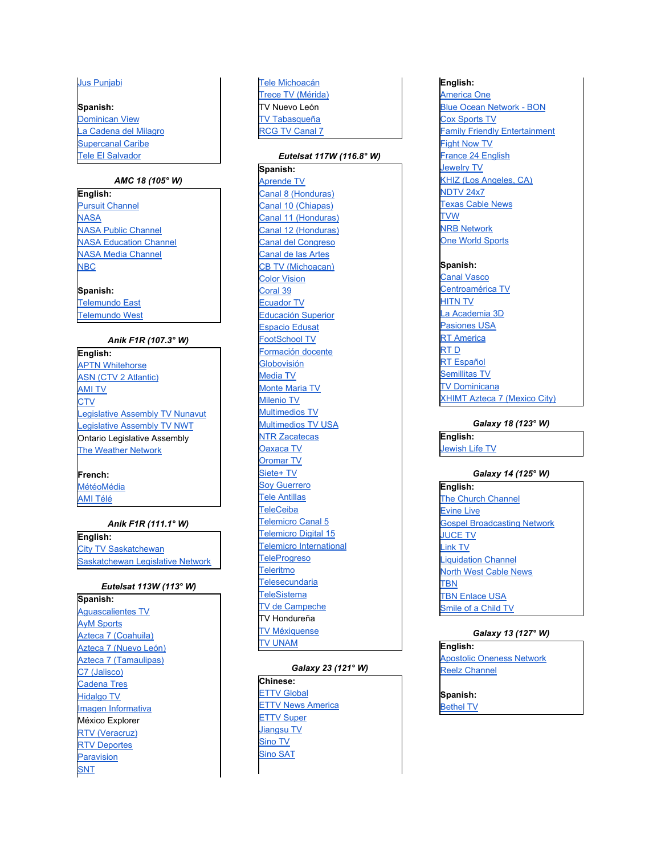#### Jus Punja[bi](http://www.juspunjabi.com/)

**Spanish:** [Dominican](http://www.supercanal.com/web/ANUNCIO) View La Cadena del [Mila](http://www.cdminternacional.com/)gro Supercanal Ca[rib](http://www.supercanal.com/)e T[ele](http://www.teleelsalvador.com/) El Salvador

#### *A M C 1 8 ( 1 0 5 ° W)*

**E n g l i s h :** Purs[uit](http://www.pursuitchannel.com/) Channel **[NASA](http://www.nasa.gov/multimedia/nasatv) NASA [Public](http://www.nasa.gov/multimedia/nasatv) Channel NASA [Education](http://www.nasa.gov/multimedia/nasatv) Channel** NASA Media [Channel](http://www.nasa.gov/multimedia/nasatv) [NBC](http://www.nbc.com/)

#### **Spanish:**

[Telemundo](http://www.telemundo.com/) East [Telemundo](http://www.telemundo.com/) West

#### *Anik F1R (107.3° W)*

**E n g l i s h : APTN W[hit](http://www.aptn.ca/)ehorse ASN (CTV 2 A[tla](http://ctvatlanticmorning.ca/)ntic)** A[MI](http://www.ami.ca/) TV <u>[C](http://winnipeg.ctv.ca/)TV</u> Le[gisla](http://www.assembly.nu.ca/)tive Assembly TV Nunavut Le[gisla](http://www.assembly.gov.nt.ca/_live/pages/wpPages/labroadcasting.aspx)tive Assembly TV NWT Ontario Legislative Assembly The [W](http://www.theweathernetwork.ca/)eather Network

#### **F r e n c h :**

MétéoMé[dia](http://www.meteomedia.com/) A MI T [élé](http://www.ami.ca/)

#### *A n ik F 1 R ( 1 1 1 . 1 ° W)*

**E n g l i s h :** [Cit](http://www.citytv.com/saskatchewan)y TV Saskatchewan Saskatchewan Le[gisla](http://www.legassembly.sk.ca/)tive Network

#### *Eutelsat 113W (113° W)*

**S p a n i s h :** Aguasc[alie](http://www.aguascalientes.gob.mx/ryta)ntes TV **Ay[M](http://www.aymsports.com.mx/) Sports** Azteca 7 (Coah[uila](http://www.tvazteca.com.mx/)) Azteca 7 ([N](http://www.tvazteca.com.mx/)uevo León) Azteca 7 (Tama[ulip](http://www.tvazteca.com.mx/)as) C7 (J[alis](http://www.sjrtv.jalisco.gob.mx/C7/index.html)co) [C](http://www.cadenatres.com.mx/)adena Tres [Hid](http://www.hidalgo.gob.mx/)algo TV [Imagen](http://www.imagen.com.mx/) Informativa México Explorer [R](http://www.rtv.org.mx/)TV (Veracruz) **[R](http://www.rtv.org.mx/)TV Deportes Para[visio](http://www.paravision.com.py/)n S[N](http://www.snt.com.py/)T** 

### Tele [Mic](http://www.smrtv.michoacan.gob.mx/)hoacán Trece TV (Mé[rid](http://www.televisionyucateca.com/)a) TV Nuevo León **T[V](http://www.tvtenlinea.com.mx/tvt) Tabasqueña** RCG TV Can[al](http://mx.geocities.com/sn_rcg/canal7) 7

#### *Eutelsat 117W (116.8°W)*

**S p a n i s h :** [A](http://aprendetv.sep.gob.mx/)prende TV Can[al](http://www.canal8hn.com/) 8 (Honduras) Canal 10 (C[hia](http://www.radioytv.chiapas.gob.mx/)pas) Can[al](http://www.canal11.hn/) 11 (Honduras) Can[al](http://www.canal12.hn/) 12 (Honduras) Can[al](http://www.canaldelcongreso.gob.mx/) del Congreso Canal de [la](http://canal23.cnart.mx/)s Artes CB TV ([Mic](http://www.cbtelevision.com.mx/)hoacan) Color [Visio](http://www.colorvision.com.do/)n Cor[al](http://www.coral39.tv/) 39 [E](http://www.ecuadortv.ec/)cuador TV Educa[ció](http://dgtve.sep.gob.mx/)n Superior Espa[cio](http://dgtve.sep.gob.mx/) Edusat FootScho[ol](http://www.footschooltv.com/) TV Forma[ció](http://dgtve.sep.gob.mx/index_telesec.htm)n docente Globo[visió](http://www.globovision.com/)n Me[dia](http://dgtve.sep.gob.mx/index_telesec.htm) TV Monte Ma[ria](http://www.montemaria.org/) TV [Mile](http://www.milenio.com/portal/tv_live.html)nio TV M[ultim](http://www.multimedios.tv/)edios TV M[ultim](http://www.multimedios.tv/)edios TV USA NT[R](http://www.ntrzacatecas.com/) Zacatecas [O](http://www.cortv.com.mx/)axaca TV Oro[m](http://www.oromartv.com/)ar TV [Sie](http://www.sqcs.com.mx/)te+ TV Soy [G](http://www.soyguerrero.net/)uerrero **Tele An[tilla](http://www.tele-antillas.tv/)s** T[ele](http://www.teleceiba.com/)Ceiba Tele[mic](http://grupotelemicro.com/canal5)ro Canal 5 Telemicro [Digit](http://digital15.com.do/television)al 15 Tele[mic](http://telemicro.com.do/tv/)ro International **[TeleProgreso](http://www.teleprogreso.tv/) [Teleritmo](http://www.multimedios.tv/programa.asp?idcat=7) [Telesecundaria](http://dgtve.sep.gob.mx/escuelaencasa/progcanal11.html) [TeleSistema](http://www.telesistema11.tv/)** TV de [Campeche](http://www.trc.campeche.gob.mx/) TV Hondureña TV [Méxiquense](http://www.edomexico.gob.mx/portalgem/tvmex) TV [UNAM](http://www.tvunam.unam.mx/)

#### *Galaxy 23 (12 1 ° W)*

**C h i n e s e : ETTV [Glo](http://www.ettoday.com/)bal [ETTV](http://www.ettv.com.tw/) News America [E](http://www.ettoday.com/)TTV Super** [Jia](http://www.jstv.com/)ngsu TV [Sin](http://www.mrbi.net/sinotv.htm)o TV [Sin](http://www.mrbi.net/sinotv.htm)o SAT

#### **E n g l i s h :**

Ame[ric](http://www.americaone.com/)a One [Blu](http://www.bon.tv/)e Ocean Network - BON [C](http://www.coxsportstv.com/)ox Sports TV **Fa[mily](http://www.familyfriendlye.com/) Friendly Entertainment [Fig](http://www.fightnow.com/)ht Now TV** France 24 En[glis](http://www.france24.com/)h Jew[elr](http://www.jewelrytelevision.com/)y TV K[HIZ](http://www.khiztv.com/) (Los Angeles, CA) **[N](http://www.ndtv.com/)DTV 24x7** Texas Ca[ble](http://www.txcn.com/) News T V [W](http://www.tvw.org/) **[N](http://www.nrbnetwork.tv/)RB Network** One Wo[rld](http://www.oneworldsports.com/) Sports

#### **S p a n i s h :**

Can[al](http://www.eitb.com/television/canal-vasco) Vasco Centroamé[ric](http://www.centroamericatv.tv/)a TV **[HIT](http://www.hitn.tv/)N TV** La Acade[mia](http://www.tvazteca.com/laacademia) 3D Pa[sio](http://www.tvpasiones.com/usa)nes USA **RT Ame[ric](http://rt.com/)a** [R](http://rtd.rt.com/)T D RT Españ[ol](http://actualidad.rt.com/) [Semillitas](http://www.semillitas.tv/) TV **TV Do[minic](http://www.televisiondominicana.tv/)ana** X[HIM](http://www.tvazteca.com.mx/)T Azteca 7 (Mexico City)

#### *G a la xy 1 8 ( 1 2 3 ° W)*

**E n g l i s h :** Je[wis](http://www.jltv.tv/)h Life TV

#### *G a la xy 1 4 ( 1 2 5 ° W)*

**E n g l i s h :** The Church Chann[el](http://www.churchchannel.tv/) [Evine](http://www.evine.com/) Live **Gospel [Broadcasting](http://www.gbntv.org/) Network J[U](http://www.jctv.org/)CE TV** [Lin](http://www.worldlinktv.com/)k TV Liq[uid](http://www.liquidationchannel.com/)ation Channel North West [Cable](http://www.nwcn.com/) News T B [N](http://www.tbn.org/) **TBN E[nla](http://www.tbnenlaceusa.tv/)ce USA** S[mile](http://www.smileofachildtv.org/) of a Child TV

#### *G a la xy 1 3 ( 1 2 7 ° W)*

**E n g l i s h : Apost[olic](http://www.aontv.com/) Oneness Network** Re[elz](http://www.reelzchannel.com/) Channel

**Spanish:** [Bethel](http://www.betheltv.tv/) TV